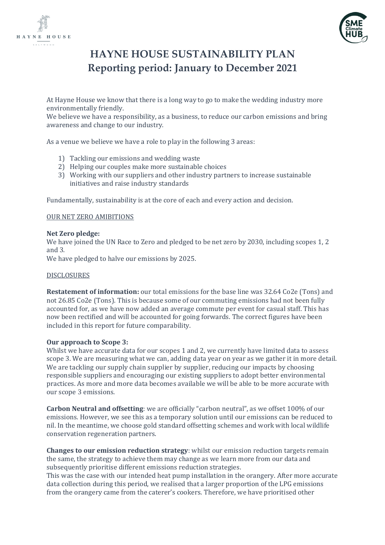



# **HAYNE HOUSE SUSTAINABILITY PLAN Reporting period: January to December 2021**

At Hayne House we know that there is a long way to go to make the wedding industry more environmentally friendly.

We believe we have a responsibility, as a business, to reduce our carbon emissions and bring awareness and change to our industry.

As a venue we believe we have a role to play in the following 3 areas:

- 1) Tackling our emissions and wedding waste
- 2) Helping our couples make more sustainable choices
- 3) Working with our suppliers and other industry partners to increase sustainable initiatives and raise industry standards

Fundamentally, sustainability is at the core of each and every action and decision.

### OUR NET ZERO AMIBITIONS

### **Net Zero pledge:**

We have joined the UN Race to Zero and pledged to be net zero by 2030, including scopes 1, 2 and 3.

We have pledged to halve our emissions by 2025.

### DISCLOSURES

**Restatement of information:** our total emissions for the base line was 32.64 Co2e (Tons) and not 26.85 Co2e (Tons). This is because some of our commuting emissions had not been fully accounted for, as we have now added an average commute per event for casual staff. This has now been rectified and will be accounted for going forwards. The correct figures have been included in this report for future comparability.

### **Our approach to Scope 3:**

Whilst we have accurate data for our scopes 1 and 2, we currently have limited data to assess scope 3. We are measuring what we can, adding data year on year as we gather it in more detail. We are tackling our supply chain supplier by supplier, reducing our impacts by choosing responsible suppliers and encouraging our existing suppliers to adopt better environmental practices. As more and more data becomes available we will be able to be more accurate with our scope 3 emissions.

**Carbon Neutral and offsetting**: we are officially "carbon neutral", as we offset 100% of our emissions. However, we see this as a temporary solution until our emissions can be reduced to nil. In the meantime, we choose gold standard offsetting schemes and work with local wildlife conservation regeneration partners.

**Changes to our emission reduction strategy**: whilst our emission reduction targets remain the same, the strategy to achieve them may change as we learn more from our data and subsequently prioritise different emissions reduction strategies.

This was the case with our intended heat pump installation in the orangery. After more accurate data collection during this period, we realised that a larger proportion of the LPG emissions from the orangery came from the caterer's cookers. Therefore, we have prioritised other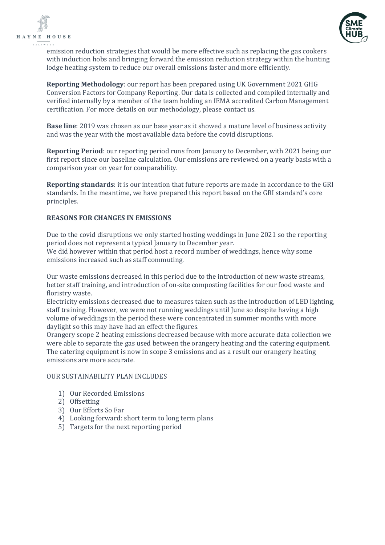



emission reduction strategies that would be more effective such as replacing the gas cookers with induction hobs and bringing forward the emission reduction strategy within the hunting lodge heating system to reduce our overall emissions faster and more efficiently.

**Reporting Methodology**: our report has been prepared using UK Government 2021 GHG Conversion Factors for Company Reporting. Our data is collected and compiled internally and verified internally by a member of the team holding an IEMA accredited Carbon Management certification. For more details on our methodology, please contact us.

**Base line**: 2019 was chosen as our base year as it showed a mature level of business activity and was the year with the most available data before the covid disruptions.

**Reporting Period**: our reporting period runs from January to December, with 2021 being our first report since our baseline calculation. Our emissions are reviewed on a yearly basis with a comparison year on year for comparability.

**Reporting standards**: it is our intention that future reports are made in accordance to the GRI standards. In the meantime, we have prepared this report based on the GRI standard's core principles.

### **REASONS FOR CHANGES IN EMISSIONS**

Due to the covid disruptions we only started hosting weddings in June 2021 so the reporting period does not represent a typical January to December year.

We did however within that period host a record number of weddings, hence why some emissions increased such as staff commuting.

Our waste emissions decreased in this period due to the introduction of new waste streams, better staff training, and introduction of on-site composting facilities for our food waste and floristry waste.

Electricity emissions decreased due to measures taken such as the introduction of LED lighting, staff training. However, we were not running weddings until June so despite having a high volume of weddings in the period these were concentrated in summer months with more daylight so this may have had an effect the figures.

Orangery scope 2 heating emissions decreased because with more accurate data collection we were able to separate the gas used between the orangery heating and the catering equipment. The catering equipment is now in scope 3 emissions and as a result our orangery heating emissions are more accurate.

### OUR SUSTAINABILITY PLAN INCLUDES

- 1) Our Recorded Emissions
- 2) Offsetting
- 3) Our Efforts So Far
- 4) Looking forward: short term to long term plans
- 5) Targets for the next reporting period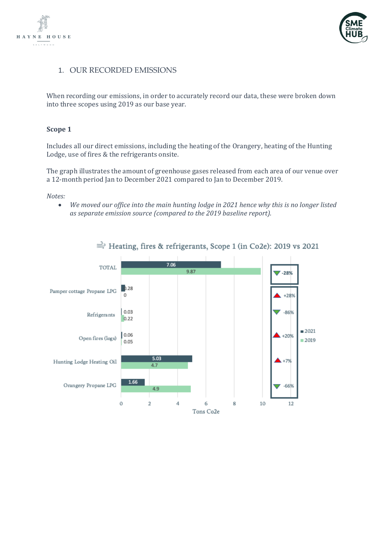



### 1. OUR RECORDED EMISSIONS

When recording our emissions, in order to accurately record our data, these were broken down into three scopes using 2019 as our base year.

### **Scope 1**

Includes all our direct emissions, including the heating of the Orangery, heating of the Hunting Lodge, use of fires & the refrigerants onsite.

The graph illustrates the amount of greenhouse gases released from each area of our venue over a 12-month period Jan to December 2021 compared to Jan to December 2019.

*Notes:*

• *We moved our office into the main hunting lodge in 2021 hence why this is no longer listed as separate emission source (compared to the 2019 baseline report).*

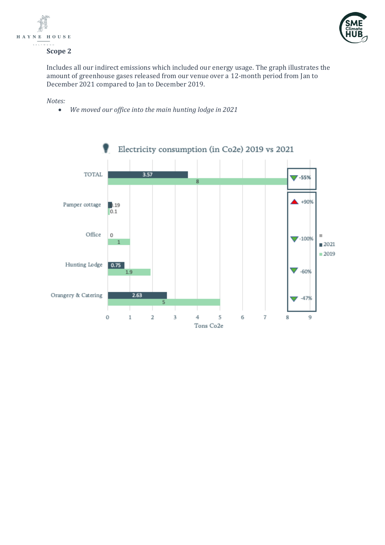



#### **Scope 2**

Includes all our indirect emissions which included our energy usage. The graph illustrates the amount of greenhouse gases released from our venue over a 12-month period from Jan to December 2021 compared to Jan to December 2019.

#### *Notes:*

• *We moved our office into the main hunting lodge in 2021* 

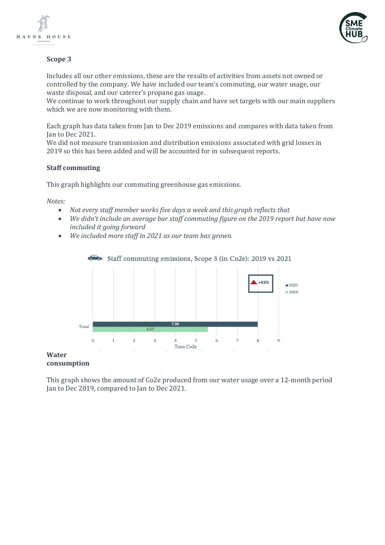



### **Scope 3**

Includes all our other emissions, these are the results of activities from assets not owned or controlled by the company. We have included our team's commuting, our water usage, our waste disposal, and our caterer's propane gas usage.

We continue to work throughout our supply chain and have set targets with our main suppliers which we are now monitoring with them.

Each graph has data taken from Jan to Dec 2019 emissions and compares with data taken from Jan to Dec 2021.

We did not measure transmission and distribution emissions associated with grid losses in 2019 so this has been added and will be accounted for in subsequent reports.

### **Staff commuting**

This graph highlights our commuting greenhouse gas emissions.

*Notes:*

- *Not every staff member works five days a week and this graph reflects that*
- *We didn't include an average bar staff commuting figure on the 2019 report but have now included it going forward*
- *We included more staff in 2021 as our team has grown.*



# **consumption**

This graph shows the amount of Co2e produced from our water usage over a 12-month period Jan to Dec 2019, compared to Jan to Dec 2021.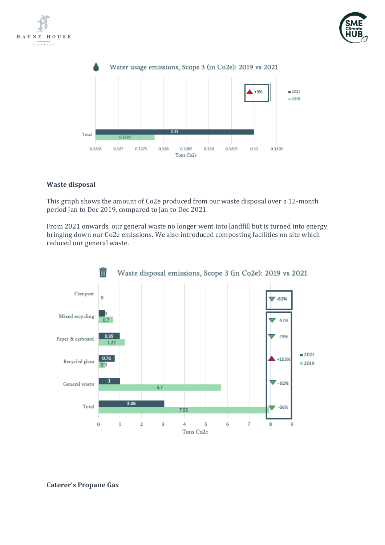





### **Waste disposal**

This graph shows the amount of Co2e produced from our waste disposal over a 12-month period Jan to Dec 2019, compared to Jan to Dec 2021.

From 2021 onwards, our general waste no longer went into landfill but is turned into energy, bringing down our Co2e emissions. We also introduced composting facilities on site which reduced our general waste.



### **Caterer's Propane Gas**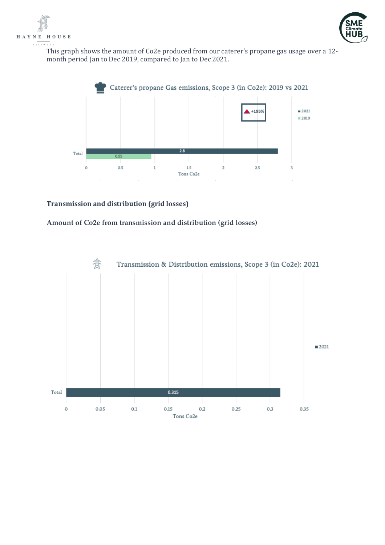



This graph shows the amount of Co2e produced from our caterer's propane gas usage over a 12 month period Jan to Dec 2019, compared to Jan to Dec 2021.



### **Transmission and distribution (grid losses)**

### **Amount of Co2e from transmission and distribution (grid losses)**

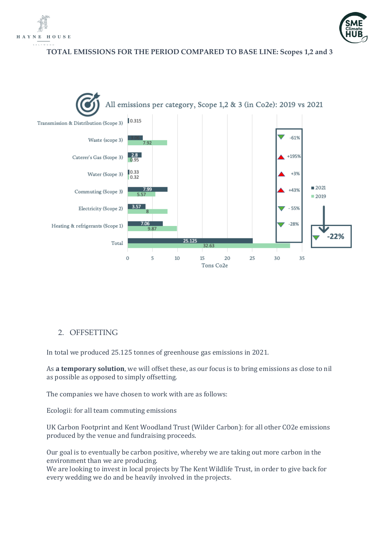



**TOTAL EMISSIONS FOR THE PERIOD COMPARED TO BASE LINE: Scopes 1,2 and 3**



# 2. OFFSETTING

In total we produced 25.125 tonnes of greenhouse gas emissions in 2021.

As **a temporary solution**, we will offset these, as our focus is to bring emissions as close to nil as possible as opposed to simply offsetting.

The companies we have chosen to work with are as follows:

Ecologii: for all team commuting emissions

UK Carbon Footprint and Kent Woodland Trust (Wilder Carbon): for all other CO2e emissions produced by the venue and fundraising proceeds.

Our goal is to eventually be carbon positive, whereby we are taking out more carbon in the environment than we are producing.

We are looking to invest in local projects by The Kent Wildlife Trust, in order to give back for every wedding we do and be heavily involved in the projects.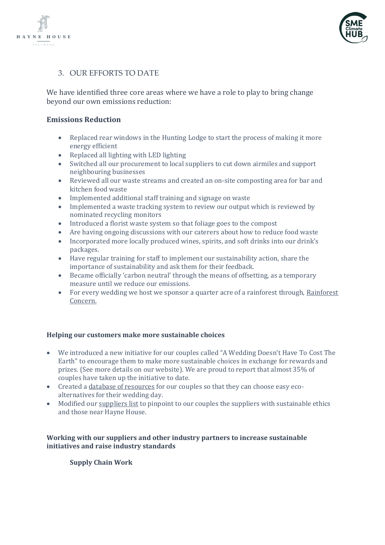



# 3. OUR EFFORTS TO DATE

We have identified three core areas where we have a role to play to bring change beyond our own emissions reduction:

# **Emissions Reduction**

- Replaced rear windows in the Hunting Lodge to start the process of making it more energy efficient
- Replaced all lighting with LED lighting
- Switched all our procurement to local suppliers to cut down airmiles and support neighbouring businesses
- Reviewed all our waste streams and created an on-site composting area for bar and kitchen food waste
- Implemented additional staff training and signage on waste
- Implemented a waste tracking system to review our output which is reviewed by nominated recycling monitors
- Introduced a florist waste system so that foliage goes to the compost
- Are having ongoing discussions with our caterers about how to reduce food waste
- Incorporated more locally produced wines, spirits, and soft drinks into our drink's packages.
- Have regular training for staff to implement our sustainability action, share the importance of sustainability and ask them for their feedback.
- Became officially 'carbon neutral' through the means of offsetting, as a temporary measure until we reduce our emissions.
- For every wedding we host we sponsor a quarter acre of a rainforest through, Rainforest [Concern.](https://www.rainforestconcern.org/)

### **Helping our customers make more sustainable choices**

- We introduced a new initiative for our couples called "A Wedding Doesn't Have To Cost The Earth" to encourage them to make more sustainable choices in exchange for rewards and prizes*.* (See more details on our website). We are proud to report that almost 35% of couples have taken up the initiative to date.
- Created a [database](https://haynehouse.co.uk/your-sustainable-wedding-choices/) of resources for our couples so that they can choose easy ecoalternatives for their wedding day.
- Modified our [suppliers list](https://haynehouse.co.uk/suppliers/) to pinpoint to our couples the suppliers with sustainable ethics and those near Hayne House.

### **Working with our suppliers and other industry partners to increase sustainable initiatives and raise industry standards**

**Supply Chain Work**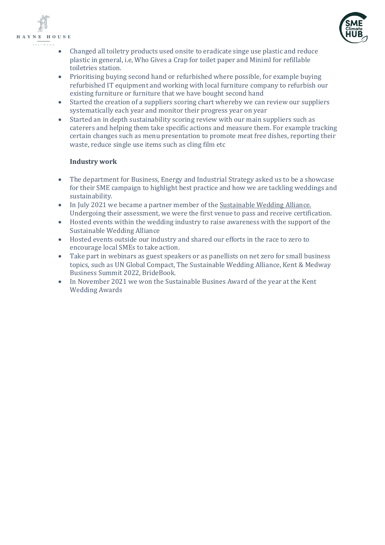



- Changed all toiletry products used onsite to eradicate singe use plastic and reduce plastic in general, i.e, Who Gives a Crap for toilet paper and Miniml for refillable toiletries station.
- Prioritising buying second hand or refurbished where possible, for example buying refurbished IT equipment and working with local furniture company to refurbish our existing furniture or furniture that we have bought second hand
- Started the creation of a suppliers scoring chart whereby we can review our suppliers systematically each year and monitor their progress year on year
- Started an in depth sustainability scoring review with our main suppliers such as caterers and helping them take specific actions and measure them. For example tracking certain changes such as menu presentation to promote meat free dishes, reporting their waste, reduce single use items such as cling film etc

### **Industry work**

- The department for Business, Energy and Industrial Strategy asked us to be a showcase for their SME campaign to highlight best practice and how we are tackling weddings and sustainability.
- In July 2021 we became a partner member of th[e Sustainable Wedding Alliance.](https://sustainableweddingalliance.com/) Undergoing their assessment, we were the first venue to pass and receive certification.
- Hosted events within the wedding industry to raise awareness with the support of the Sustainable Wedding Alliance
- Hosted events outside our industry and shared our efforts in the race to zero to encourage local SMEs to take action.
- Take part in webinars as guest speakers or as panellists on net zero for small business topics, such as UN Global Compact, The Sustainable Wedding Alliance, Kent & Medway Business Summit 2022, BrideBook.
- In November 2021 we won the Sustainable Busines Award of the year at the Kent Wedding Awards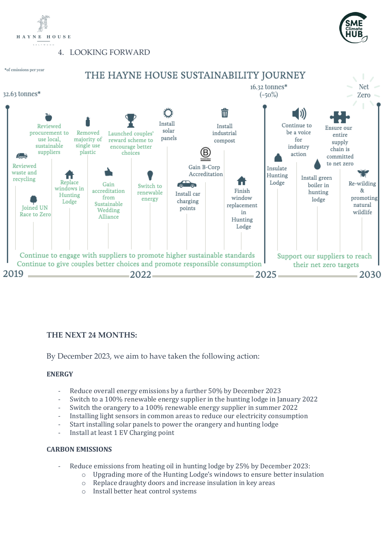

4. LOOKING FORWARD





# THE HAYNE HOUSE SUSTAINABILITY JOURNEY



# **THE NEXT 24 MONTHS:**

By December 2023, we aim to have taken the following action:

# **ENERGY**

- Reduce overall energy emissions by a further 50% by December 2023
- Switch to a 100% renewable energy supplier in the hunting lodge in January 2022
- Switch the orangery to a 100% renewable energy supplier in summer 2022
- Installing light sensors in common areas to reduce our electricity consumption
- Start installing solar panels to power the orangery and hunting lodge
- Install at least 1 EV Charging point

# **CARBON EMISSIONS**

- Reduce emissions from heating oil in hunting lodge by 25% by December 2023:
	- o Upgrading more of the Hunting Lodge's windows to ensure better insulation
	- o Replace draughty doors and increase insulation in key areas
	- o Install better heat control systems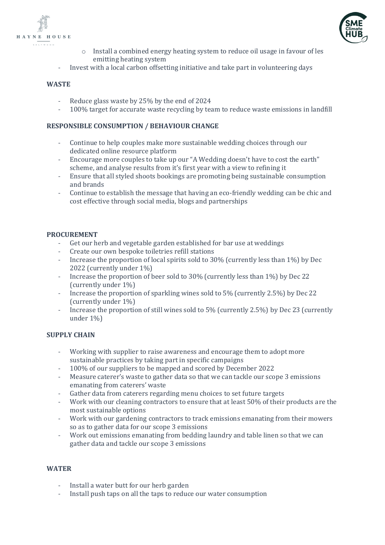



- o Install a combined energy heating system to reduce oil usage in favour of les emitting heating system
- Invest with a local carbon offsetting initiative and take part in volunteering days

### **WASTE**

- Reduce glass waste by 25% by the end of 2024
- 100% target for accurate waste recycling by team to reduce waste emissions in landfill

### **RESPONSIBLE CONSUMPTION / BEHAVIOUR CHANGE**

- Continue to help couples make more sustainable wedding choices through our dedicated online resource platform
- Encourage more couples to take up our "A Wedding doesn't have to cost the earth" scheme, and analyse results from it's first year with a view to refining it
- Ensure that all styled shoots bookings are promoting being sustainable consumption and brands
- Continue to establish the message that having an eco-friendly wedding can be chic and cost effective through social media, blogs and partnerships

### **PROCUREMENT**

- Get our herb and vegetable garden established for bar use at weddings
- Create our own bespoke toiletries refill stations
- Increase the proportion of local spirits sold to 30% (currently less than 1%) by Dec 2022 (currently under 1%)
- Increase the proportion of beer sold to 30% (currently less than 1%) by Dec 22 (currently under 1%)
- Increase the proportion of sparkling wines sold to 5% (currently 2.5%) by Dec 22 (currently under 1%)
- Increase the proportion of still wines sold to 5% (currently 2.5%) by Dec 23 (currently under 1%)

### **SUPPLY CHAIN**

- Working with supplier to raise awareness and encourage them to adopt more sustainable practices by taking part in specific campaigns
- 100% of our suppliers to be mapped and scored by December 2022
- Measure caterer's waste to gather data so that we can tackle our scope 3 emissions emanating from caterers' waste
- Gather data from caterers regarding menu choices to set future targets
- Work with our cleaning contractors to ensure that at least 50% of their products are the most sustainable options
- Work with our gardening contractors to track emissions emanating from their mowers so as to gather data for our scope 3 emissions
- Work out emissions emanating from bedding laundry and table linen so that we can gather data and tackle our scope 3 emissions

### **WATER**

- Install a water butt for our herb garden
- Install push taps on all the taps to reduce our water consumption